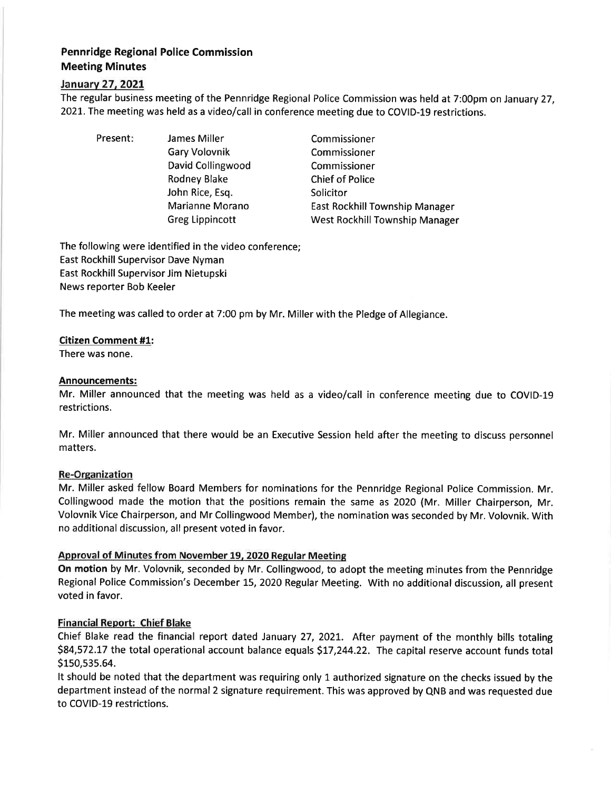# Pennridge Regional Police Commission Meeting Minutes

## lanuarv 27.2O21.

The regular business meeting of the Pennridge Regional Police Commission was held at 7:00pm on January 27, 2021. The meeting was held as a video/call in conference meeting due to COVID-19 restrictions.

Present: James Miller Gary Volovnik David Collingwood Rodney Blake John Rice, Esq. Marianne Morano Greg Lippincott

Commissioner Commissioner Commissioner Chief of Police Solicitor East Rockhill Township Manager West Rockhill Township Manager

The following were identified in the video conference; East Rockhill Supervisor Dave Nyman East Rockhill Supervisor Jim Nietupski News reporter Bob Keeler

The meeting was called to order at 7:00 pm by Mr. Miller with the Pledge of Allegiance.

## Citizen Comment #1:

There was none.

## Announcements:

Mr. Miller announced that the meeting was held as a video/call in conference meeting due to COVID-19 restrictions.

Mr. Miller announced that there would be an Executive Session held after the meeting to discuss personnel matters.

## Re-Organization

Mr. Miller asked fellow Board Members for nominations for the Pennridge Regional Police Commission. Mr. Collingwood made the motion that the positions remain the same as 2020 (Mr. Miller Chairperson, Mr. Volovnik Vice Chairperson, and Mr Collingwood Member), the nomination was seconded by Mr. Volovnik. With no additional discussion, all present voted in favor.

# Approval of Minutes from November 19. 2020 Regular Meeting

On motion by Mr. Volovnik, seconded by Mr. Collingwood, to adopt the meeting minutes from the Pennridge Regional Police Commission's December 15, 2020 Regular Meeting. With no additional discussion, all present voted in favor.

# Financial Report: Chief Blake

Chief Blake read the financial report dated January 27,2O2L. After payment of the monthly bills totaling \$84,572.17 the total operational account balance equals \$17,244.22. The capital reserve account funds total S150,535.64.

It should be noted that the department was requiring only 1 authorized signature on the checks issued by the department instead of the normal 2 signature requirement. This was approved by QNB and was requested due to COVID-19 restrictions.